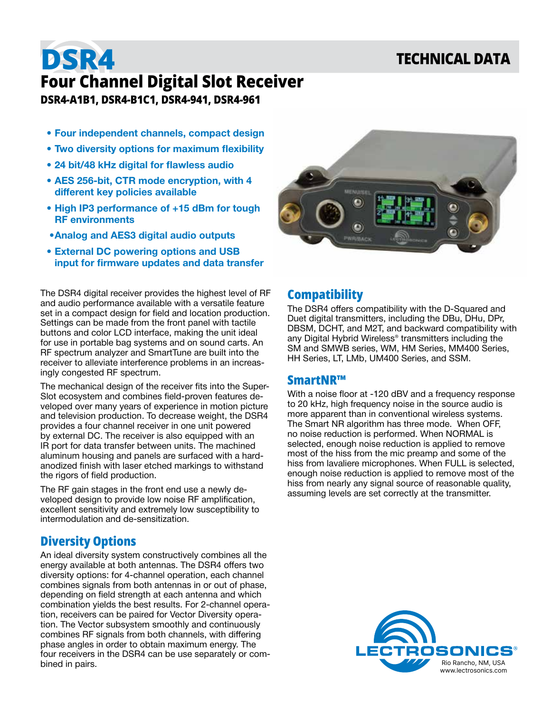## **TECHNICAL DATA**

# **DSR4 Four Channel Digital Slot Receiver DSR4-A1B1, DSR4-B1C1, DSR4-941, DSR4-961**

- **• Four independent channels, compact design**
- **• Two diversity options for maximum flexibility**
- **• 24 bit/48 kHz digital for flawless audio**
- **• AES 256-bit, CTR mode encryption, with 4 different key policies available**
- **• High IP3 performance of +15 dBm for tough RF environments**
- **•Analog and AES3 digital audio outputs**
- **• External DC powering options and USB input for firmware updates and data transfer**

The DSR4 digital receiver provides the highest level of RF and audio performance available with a versatile feature set in a compact design for field and location production. Settings can be made from the front panel with tactile buttons and color LCD interface, making the unit ideal for use in portable bag systems and on sound carts. An RF spectrum analyzer and SmartTune are built into the receiver to alleviate interference problems in an increasingly congested RF spectrum.

The mechanical design of the receiver fits into the Super-Slot ecosystem and combines field-proven features developed over many years of experience in motion picture and television production. To decrease weight, the DSR4 provides a four channel receiver in one unit powered by external DC. The receiver is also equipped with an IR port for data transfer between units. The machined aluminum housing and panels are surfaced with a hardanodized finish with laser etched markings to withstand the rigors of field production.

The RF gain stages in the front end use a newly developed design to provide low noise RF amplification, excellent sensitivity and extremely low susceptibility to intermodulation and de-sensitization.

## **Diversity Options**

An ideal diversity system constructively combines all the energy available at both antennas. The DSR4 offers two diversity options: for 4-channel operation, each channel combines signals from both antennas in or out of phase, depending on field strength at each antenna and which combination yields the best results. For 2-channel operation, receivers can be paired for Vector Diversity operation. The Vector subsystem smoothly and continuously combines RF signals from both channels, with differing phase angles in order to obtain maximum energy. The four receivers in the DSR4 can be use separately or combined in pairs.



## **Compatibility**

The DSR4 offers compatibility with the D-Squared and Duet digital transmitters, including the DBu, DHu, DPr, DBSM, DCHT, and M2T, and backward compatibility with any Digital Hybrid Wireless® transmitters including the SM and SMWB series, WM, HM Series, MM400 Series, HH Series, LT, LMb, UM400 Series, and SSM.

## **SmartNR™**

With a noise floor at -120 dBV and a frequency response to 20 kHz, high frequency noise in the source audio is more apparent than in conventional wireless systems. The Smart NR algorithm has three mode. When OFF, no noise reduction is performed. When NORMAL is selected, enough noise reduction is applied to remove most of the hiss from the mic preamp and some of the hiss from lavaliere microphones. When FULL is selected, enough noise reduction is applied to remove most of the hiss from nearly any signal source of reasonable quality, assuming levels are set correctly at the transmitter.